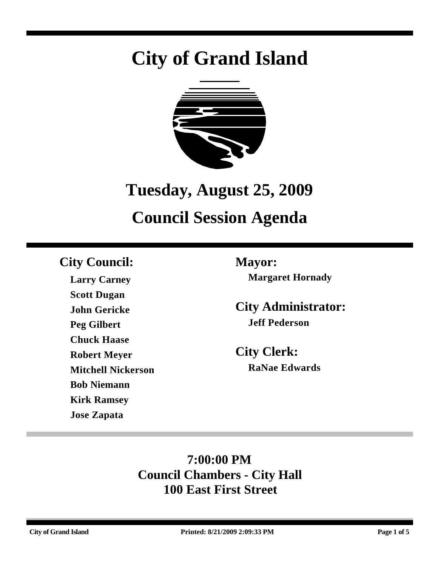# **City of Grand Island**



## **Tuesday, August 25, 2009**

## **Council Session Agenda**

## **City Council: Mayor:**

**Larry Carney Scott Dugan John Gericke Peg Gilbert Chuck Haase Robert Meyer Mitchell Nickerson Bob Niemann Kirk Ramsey Jose Zapata**

**Margaret Hornady**

**City Administrator: Jeff Pederson**

**City Clerk: RaNae Edwards**

## **7:00:00 PM Council Chambers - City Hall 100 East First Street**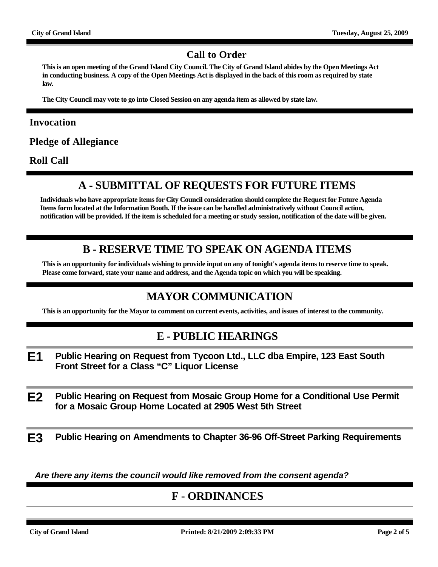#### **Call to Order**

**This is an open meeting of the Grand Island City Council. The City of Grand Island abides by the Open Meetings Act in conducting business. A copy of the Open Meetings Act is displayed in the back of this room as required by state law.**

**The City Council may vote to go into Closed Session on any agenda item as allowed by state law.**

#### **Invocation**

**Pledge of Allegiance**

**Roll Call**

#### **A - SUBMITTAL OF REQUESTS FOR FUTURE ITEMS**

**Individuals who have appropriate items for City Council consideration should complete the Request for Future Agenda Items form located at the Information Booth. If the issue can be handled administratively without Council action, notification will be provided. If the item is scheduled for a meeting or study session, notification of the date will be given.**

#### **B - RESERVE TIME TO SPEAK ON AGENDA ITEMS**

**This is an opportunity for individuals wishing to provide input on any of tonight's agenda items to reserve time to speak. Please come forward, state your name and address, and the Agenda topic on which you will be speaking.**

#### **MAYOR COMMUNICATION**

**This is an opportunity for the Mayor to comment on current events, activities, and issues of interest to the community.**

#### **E - PUBLIC HEARINGS**

- **E1 Public Hearing on Request from Tycoon Ltd., LLC dba Empire, 123 East South Front Street for a Class "C" Liquor License**
- **E2 Public Hearing on Request from Mosaic Group Home for a Conditional Use Permit for a Mosaic Group Home Located at 2905 West 5th Street**

**E3 Public Hearing on Amendments to Chapter 36-96 Off-Street Parking Requirements**

*Are there any items the council would like removed from the consent agenda?*

#### **F - ORDINANCES**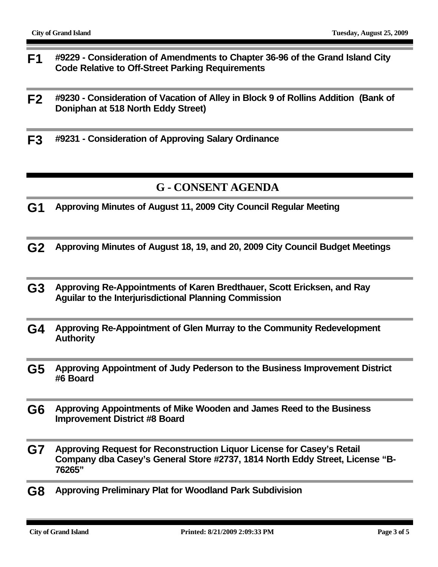- **F1 #9229 Consideration of Amendments to Chapter 36-96 of the Grand Island City Code Relative to Off-Street Parking Requirements**
- **F2 #9230 Consideration of Vacation of Alley in Block 9 of Rollins Addition (Bank of Doniphan at 518 North Eddy Street)**
- **F3 #9231 Consideration of Approving Salary Ordinance**

#### **G - CONSENT AGENDA**

- **G1 Approving Minutes of August 11, 2009 City Council Regular Meeting**
- **G2 Approving Minutes of August 18, 19, and 20, 2009 City Council Budget Meetings**
- **G3 Approving Re-Appointments of Karen Bredthauer, Scott Ericksen, and Ray Aguilar to the Interjurisdictional Planning Commission**
- **G4 Approving Re-Appointment of Glen Murray to the Community Redevelopment Authority**
- **G5 Approving Appointment of Judy Pederson to the Business Improvement District #6 Board**
- **G6 Approving Appointments of Mike Wooden and James Reed to the Business Improvement District #8 Board**
- **G7 Approving Request for Reconstruction Liquor License for Casey's Retail Company dba Casey's General Store #2737, 1814 North Eddy Street, License "B-76265"**
- **G8 Approving Preliminary Plat for Woodland Park Subdivision**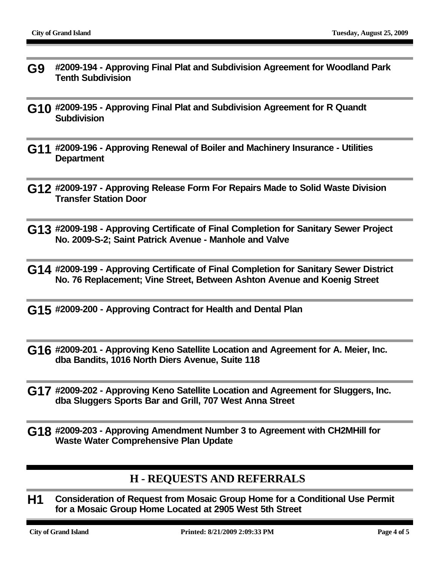- **G9 #2009-194 Approving Final Plat and Subdivision Agreement for Woodland Park Tenth Subdivision**
- **G10 #2009-195 Approving Final Plat and Subdivision Agreement for R Quandt Subdivision**
- **G11 #2009-196 Approving Renewal of Boiler and Machinery Insurance Utilities Department**
- **G12 #2009-197 Approving Release Form For Repairs Made to Solid Waste Division Transfer Station Door**
- **G13 #2009-198 Approving Certificate of Final Completion for Sanitary Sewer Project No. 2009-S-2; Saint Patrick Avenue - Manhole and Valve**
- **G14 #2009-199 Approving Certificate of Final Completion for Sanitary Sewer District No. 76 Replacement; Vine Street, Between Ashton Avenue and Koenig Street**
- **G15 #2009-200 Approving Contract for Health and Dental Plan**
- **G16 #2009-201 Approving Keno Satellite Location and Agreement for A. Meier, Inc. dba Bandits, 1016 North Diers Avenue, Suite 118**
- **G17 #2009-202 Approving Keno Satellite Location and Agreement for Sluggers, Inc. dba Sluggers Sports Bar and Grill, 707 West Anna Street**
- **G18 #2009-203 Approving Amendment Number 3 to Agreement with CH2MHill for Waste Water Comprehensive Plan Update**

#### **H - REQUESTS AND REFERRALS**

**H1 Consideration of Request from Mosaic Group Home for a Conditional Use Permit for a Mosaic Group Home Located at 2905 West 5th Street**